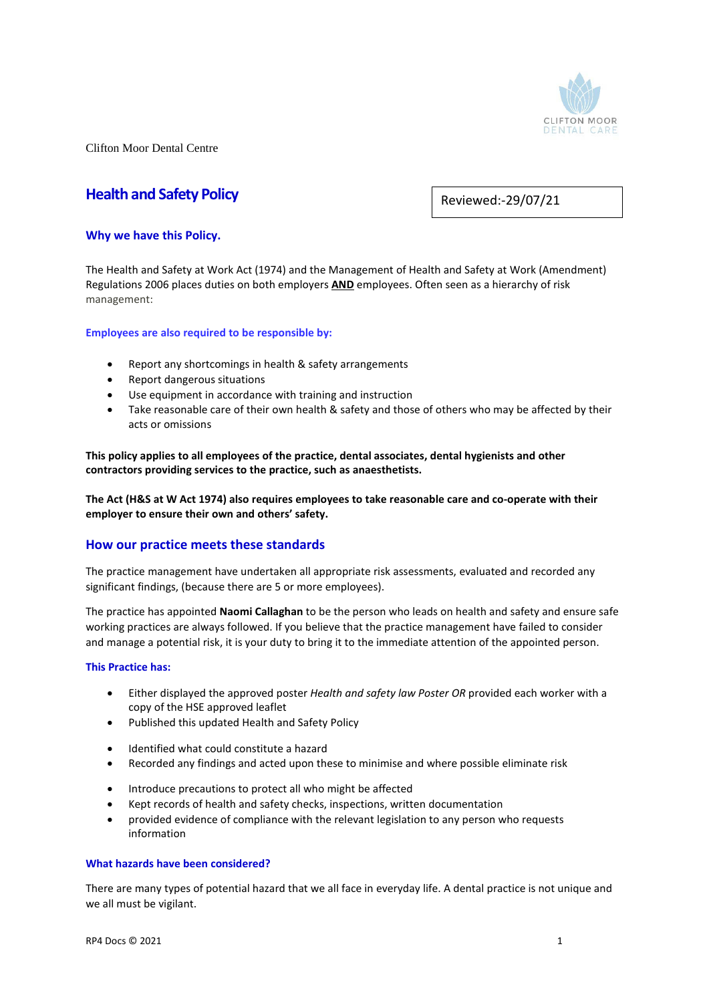

# **Health and Safety Policy**

Reviewed:-29/07/21

# **Why we have this Policy.**

The Health and Safety at Work Act (1974) and the Management of Health and Safety at Work (Amendment) Regulations 2006 places duties on both employers **AND** employees. Often seen as a hierarchy of risk management:

# **Employees are also required to be responsible by:**

- Report any shortcomings in health & safety arrangements
- Report dangerous situations
- Use equipment in accordance with training and instruction
- Take reasonable care of their own health & safety and those of others who may be affected by their acts or omissions

**This policy applies to all employees of the practice, dental associates, dental hygienists and other contractors providing services to the practice, such as anaesthetists.** 

**The Act (H&S at W Act 1974) also requires employees to take reasonable care and co-operate with their employer to ensure their own and others' safety.** 

# **How our practice meets these standards**

The practice management have undertaken all appropriate risk assessments, evaluated and recorded any significant findings, (because there are 5 or more employees).

The practice has appointed **Naomi Callaghan** to be the person who leads on health and safety and ensure safe working practices are always followed. If you believe that the practice management have failed to consider and manage a potential risk, it is your duty to bring it to the immediate attention of the appointed person.

#### **This Practice has:**

- Either displayed the approved poster *Health and safety law Poster OR* provided each worker with a copy of the HSE approved leaflet
- Published this updated Health and Safety Policy
- Identified what could constitute a hazard
- Recorded any findings and acted upon these to minimise and where possible eliminate risk
- Introduce precautions to protect all who might be affected
- Kept records of health and safety checks, inspections, written documentation
- provided evidence of compliance with the relevant legislation to any person who requests information

#### **What hazards have been considered?**

There are many types of potential hazard that we all face in everyday life. A dental practice is not unique and we all must be vigilant.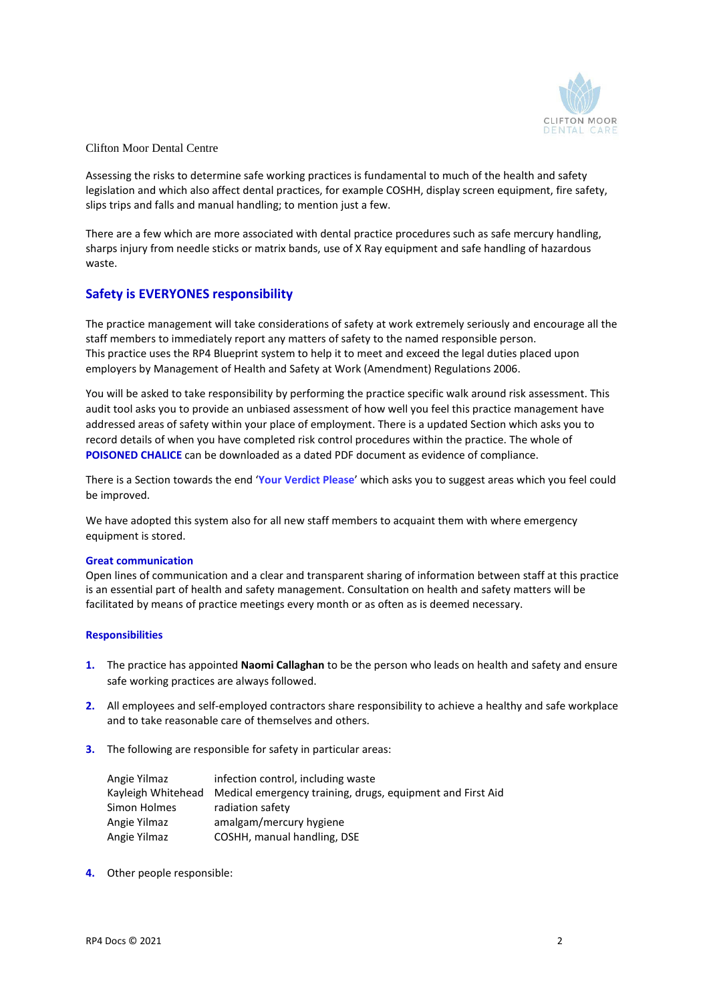

Assessing the risks to determine safe working practices is fundamental to much of the health and safety legislation and which also affect dental practices, for example COSHH, display screen equipment, fire safety, slips trips and falls and manual handling; to mention just a few.

There are a few which are more associated with dental practice procedures such as safe mercury handling, sharps injury from needle sticks or matrix bands, use of X Ray equipment and safe handling of hazardous waste.

# **Safety is EVERYONES responsibility**

The practice management will take considerations of safety at work extremely seriously and encourage all the staff members to immediately report any matters of safety to the named responsible person. This practice uses the RP4 Blueprint system to help it to meet and exceed the legal duties placed upon employers by Management of Health and Safety at Work (Amendment) Regulations 2006.

You will be asked to take responsibility by performing the practice specific walk around risk assessment. This audit tool asks you to provide an unbiased assessment of how well you feel this practice management have addressed areas of safety within your place of employment. There is a updated Section which asks you to record details of when you have completed risk control procedures within the practice. The whole of **POISONED CHALICE** can be downloaded as a dated PDF document as evidence of compliance.

There is a Section towards the end '**Your Verdict Please**' which asks you to suggest areas which you feel could be improved.

We have adopted this system also for all new staff members to acquaint them with where emergency equipment is stored.

#### **Great communication**

Open lines of communication and a clear and transparent sharing of information between staff at this practice is an essential part of health and safety management. Consultation on health and safety matters will be facilitated by means of practice meetings every month or as often as is deemed necessary.

#### **Responsibilities**

- **1.** The practice has appointed **Naomi Callaghan** to be the person who leads on health and safety and ensure safe working practices are always followed.
- **2.** All employees and self-employed contractors share responsibility to achieve a healthy and safe workplace and to take reasonable care of themselves and others.
- **3.** The following are responsible for safety in particular areas:

| Angie Yilmaz | infection control, including waste                                            |  |
|--------------|-------------------------------------------------------------------------------|--|
|              | Kayleigh Whitehead Medical emergency training, drugs, equipment and First Aid |  |
| Simon Holmes | radiation safety                                                              |  |
| Angie Yilmaz | amalgam/mercury hygiene                                                       |  |
| Angie Yilmaz | COSHH, manual handling, DSE                                                   |  |

**4.** Other people responsible: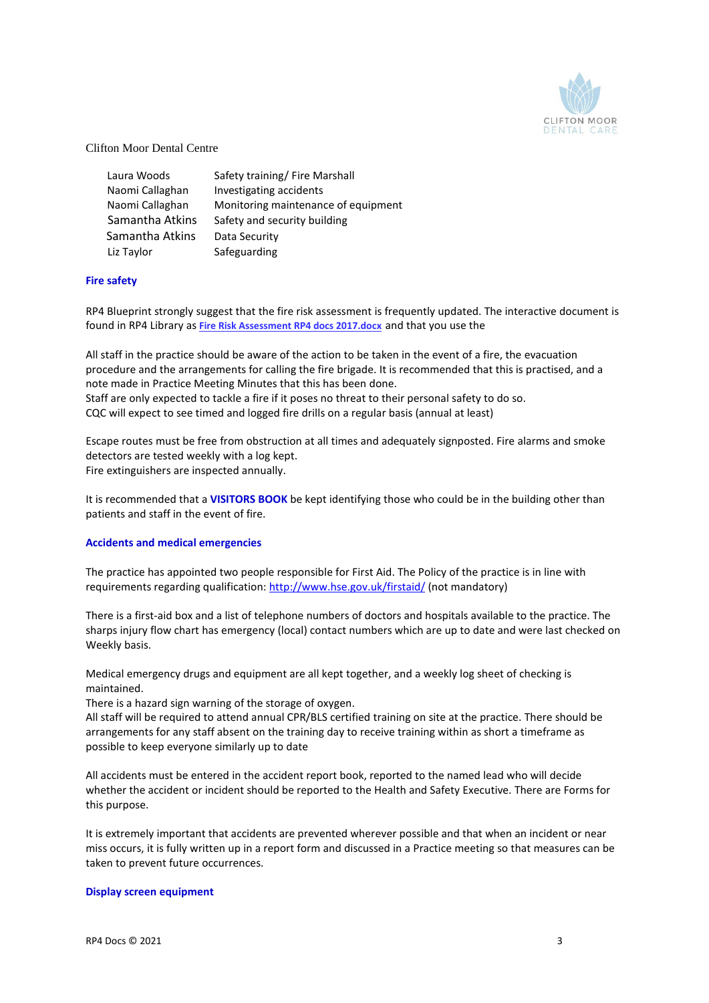

| Laura Woods     | Safety training/ Fire Marshall      |
|-----------------|-------------------------------------|
| Naomi Callaghan | Investigating accidents             |
| Naomi Callaghan | Monitoring maintenance of equipment |
| Samantha Atkins | Safety and security building        |
| Samantha Atkins | Data Security                       |
| Liz Taylor      | Safeguarding                        |

# **Fire safety**

RP4 Blueprint strongly suggest that the fire risk assessment is frequently updated. The interactive document is found in RP4 Library as **[Fire Risk Assessment RP4 docs 2017.docx](http://185.62.85.150:8080/TestBase/faces/userViews/Libraries.xhtml)** and that you use the

All staff in the practice should be aware of the action to be taken in the event of a fire, the evacuation procedure and the arrangements for calling the fire brigade. It is recommended that this is practised, and a note made in Practice Meeting Minutes that this has been done. Staff are only expected to tackle a fire if it poses no threat to their personal safety to do so. CQC will expect to see timed and logged fire drills on a regular basis (annual at least)

Escape routes must be free from obstruction at all times and adequately signposted. Fire alarms and smoke detectors are tested weekly with a log kept. Fire extinguishers are inspected annually.

It is recommended that a **VISITORS BOOK** be kept identifying those who could be in the building other than patients and staff in the event of fire.

#### **Accidents and medical emergencies**

The practice has appointed two people responsible for First Aid. The Policy of the practice is in line with requirements regarding qualification:<http://www.hse.gov.uk/firstaid/> (not mandatory)

There is a first-aid box and a list of telephone numbers of doctors and hospitals available to the practice. The sharps injury flow chart has emergency (local) contact numbers which are up to date and were last checked on Weekly basis.

Medical emergency drugs and equipment are all kept together, and a weekly log sheet of checking is maintained.

There is a hazard sign warning of the storage of oxygen.

All staff will be required to attend annual CPR/BLS certified training on site at the practice. There should be arrangements for any staff absent on the training day to receive training within as short a timeframe as possible to keep everyone similarly up to date

All accidents must be entered in the accident report book, reported to the named lead who will decide whether the accident or incident should be reported to the Health and Safety Executive. There are Forms for this purpose.

It is extremely important that accidents are prevented wherever possible and that when an incident or near miss occurs, it is fully written up in a report form and discussed in a Practice meeting so that measures can be taken to prevent future occurrences.

#### **Display screen equipment**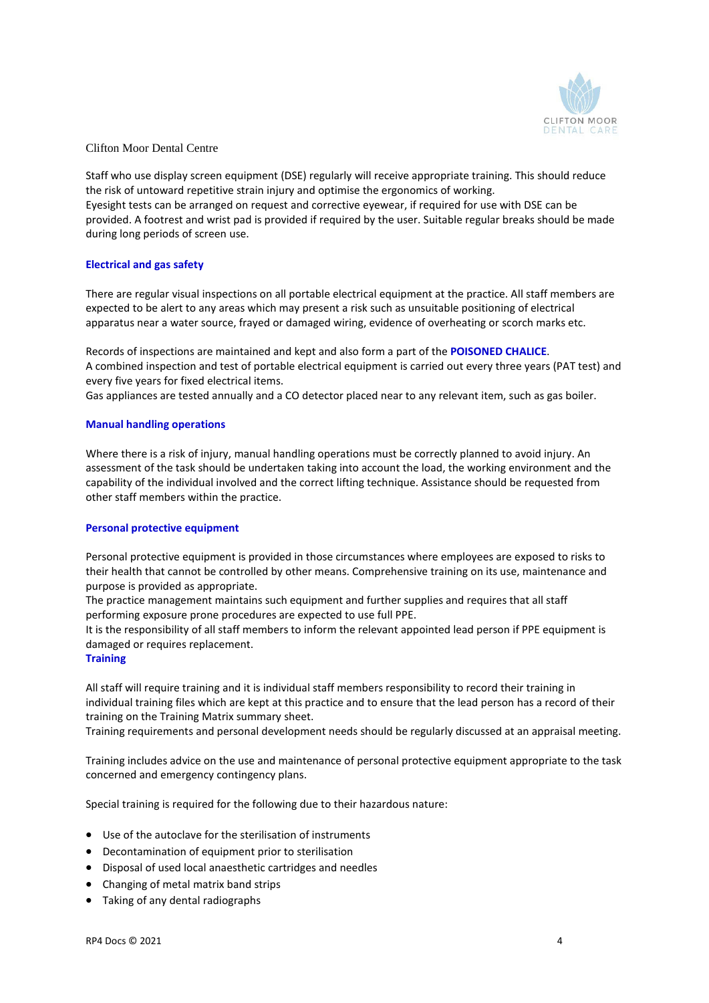

Staff who use display screen equipment (DSE) regularly will receive appropriate training. This should reduce the risk of untoward repetitive strain injury and optimise the ergonomics of working. Eyesight tests can be arranged on request and corrective eyewear, if required for use with DSE can be provided. A footrest and wrist pad is provided if required by the user. Suitable regular breaks should be made during long periods of screen use.

# **Electrical and gas safety**

There are regular visual inspections on all portable electrical equipment at the practice. All staff members are expected to be alert to any areas which may present a risk such as unsuitable positioning of electrical apparatus near a water source, frayed or damaged wiring, evidence of overheating or scorch marks etc.

Records of inspections are maintained and kept and also form a part of the **POISONED CHALICE**. A combined inspection and test of portable electrical equipment is carried out every three years (PAT test) and every five years for fixed electrical items.

Gas appliances are tested annually and a CO detector placed near to any relevant item, such as gas boiler.

#### **Manual handling operations**

Where there is a risk of injury, manual handling operations must be correctly planned to avoid injury. An assessment of the task should be undertaken taking into account the load, the working environment and the capability of the individual involved and the correct lifting technique. Assistance should be requested from other staff members within the practice.

#### **Personal protective equipment**

Personal protective equipment is provided in those circumstances where employees are exposed to risks to their health that cannot be controlled by other means. Comprehensive training on its use, maintenance and purpose is provided as appropriate.

The practice management maintains such equipment and further supplies and requires that all staff performing exposure prone procedures are expected to use full PPE.

It is the responsibility of all staff members to inform the relevant appointed lead person if PPE equipment is damaged or requires replacement.

#### **Training**

All staff will require training and it is individual staff members responsibility to record their training in individual training files which are kept at this practice and to ensure that the lead person has a record of their training on the Training Matrix summary sheet.

Training requirements and personal development needs should be regularly discussed at an appraisal meeting.

Training includes advice on the use and maintenance of personal protective equipment appropriate to the task concerned and emergency contingency plans.

Special training is required for the following due to their hazardous nature:

- Use of the autoclave for the sterilisation of instruments
- Decontamination of equipment prior to sterilisation
- Disposal of used local anaesthetic cartridges and needles
- Changing of metal matrix band strips
- Taking of any dental radiographs